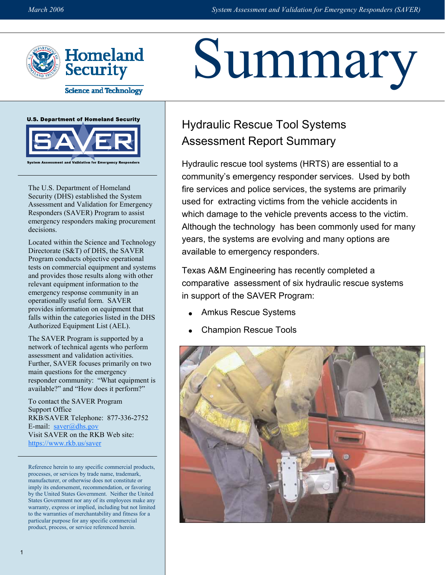

**Science and Technology** 



The U.S. Department of Homeland Security (DHS) established the System Assessment and Validation for Emergency Responders (SAVER) Program to assist emergency responders making procurement decisions.

Located within the Science and Technology Directorate (S&T) of DHS, the SAVER Program conducts objective operational tests on commercial equipment and systems and provides those results along with other relevant equipment information to the emergency response community in an operationally useful form. SAVER provides information on equipment that falls within the categories listed in the DHS Authorized Equipment List (AEL).

The SAVER Program is supported by a network of technical agents who perform assessment and validation activities. Further, SAVER focuses primarily on two main questions for the emergency responder community: "What equipment is available?" and "How does it perform?"

To contact the SAVER Program Support Office RKB/SAVER Telephone: 877-336-2752 E-mail:  $saver@dhs.gov$ Visit SAVER on the RKB Web site: https://www.rkb.us/saver

Reference herein to any specific commercial products, processes, or services by trade name, trademark, manufacturer, or otherwise does not constitute or imply its endorsement, recommendation, or favoring by the United States Government. Neither the United States Government nor any of its employees make any warranty, express or implied, including but not limited to the warranties of merchantability and fitness for a particular purpose for any specific commercial product, process, or service referenced herein.

# Summary

# Hydraulic Rescue Tool Systems Assessment Report Summary

Hydraulic rescue tool systems (HRTS) are essential to a community's emergency responder services. Used by both fire services and police services, the systems are primarily used for extracting victims from the vehicle accidents in which damage to the vehicle prevents access to the victim. Although the technology has been commonly used for many years, the systems are evolving and many options are available to emergency responders.

Texas A&M Engineering has recently completed a comparative assessment of six hydraulic rescue systems in support of the SAVER Program:

- Amkus Rescue Systems
- Champion Rescue Tools

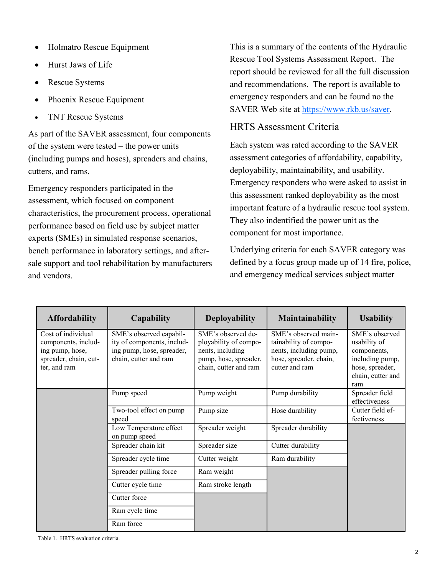- Holmatro Rescue Equipment
- Hurst Jaws of Life
- Rescue Systems
- Phoenix Rescue Equipment
- TNT Rescue Systems

 As part of the SAVER assessment, four components of the system were tested – the power units (including pumps and hoses), spreaders and chains, cutters, and rams.

 Emergency responders participated in the assessment, which focused on component characteristics, the procurement process, operational performance based on field use by subject matter experts (SMEs) in simulated response scenarios, bench performance in laboratory settings, and after- sale support and tool rehabilitation by manufacturers and vendors.

 This is a summary of the contents of the Hydraulic Rescue Tool Systems Assessment Report. The report should be reviewed for all the full discussion and recommendations. The report is available to emergency responders and can be found no the SAVER Web site at https://www.rkb.us/saver.

### HRTS Assessment Criteria

 Each system was rated according to the SAVER assessment categories of affordability, capability, deployability, maintainability, and usability. Emergency responders who were asked to assist in this assessment ranked deployability as the most important feature of a hydraulic rescue tool system. They also indentified the power unit as the component for most importance.

 Underlying criteria for each SAVER category was defined by a focus group made up of 14 fire, police, and emergency medical services subject matter

| <b>Affordability</b>                                                                                  | Capability                                                                                                  | <b>Deployability</b>                                                                                              | <b>Maintainability</b>                                                                                              | <b>Usability</b>                                                                                                |
|-------------------------------------------------------------------------------------------------------|-------------------------------------------------------------------------------------------------------------|-------------------------------------------------------------------------------------------------------------------|---------------------------------------------------------------------------------------------------------------------|-----------------------------------------------------------------------------------------------------------------|
| Cost of individual<br>components, includ-<br>ing pump, hose,<br>spreader, chain, cut-<br>ter, and ram | SME's observed capabil-<br>ity of components, includ-<br>ing pump, hose, spreader,<br>chain, cutter and ram | SME's observed de-<br>ployability of compo-<br>nents, including<br>pump, hose, spreader,<br>chain, cutter and ram | SME's observed main-<br>tainability of compo-<br>nents, including pump,<br>hose, spreader, chain,<br>cutter and ram | SME's observed<br>usability of<br>components,<br>including pump,<br>hose, spreader,<br>chain, cutter and<br>ram |
|                                                                                                       | Pump speed                                                                                                  | Pump weight                                                                                                       | Pump durability                                                                                                     | Spreader field<br>effectiveness                                                                                 |
|                                                                                                       | Two-tool effect on pump<br>speed                                                                            | Pump size                                                                                                         | Hose durability                                                                                                     | Cutter field ef-<br>fectiveness                                                                                 |
|                                                                                                       | Low Temperature effect<br>on pump speed                                                                     | Spreader weight                                                                                                   | Spreader durability                                                                                                 |                                                                                                                 |
|                                                                                                       | Spreader chain kit                                                                                          | Spreader size                                                                                                     | Cutter durability                                                                                                   |                                                                                                                 |
|                                                                                                       | Spreader cycle time                                                                                         | Cutter weight                                                                                                     | Ram durability                                                                                                      |                                                                                                                 |
|                                                                                                       | Spreader pulling force                                                                                      | Ram weight                                                                                                        |                                                                                                                     |                                                                                                                 |
|                                                                                                       | Cutter cycle time                                                                                           | Ram stroke length                                                                                                 |                                                                                                                     |                                                                                                                 |
|                                                                                                       | Cutter force                                                                                                |                                                                                                                   |                                                                                                                     |                                                                                                                 |
|                                                                                                       | Ram cycle time                                                                                              |                                                                                                                   |                                                                                                                     |                                                                                                                 |
|                                                                                                       | Ram force                                                                                                   |                                                                                                                   |                                                                                                                     |                                                                                                                 |

Table 1. HRTS evaluation criteria.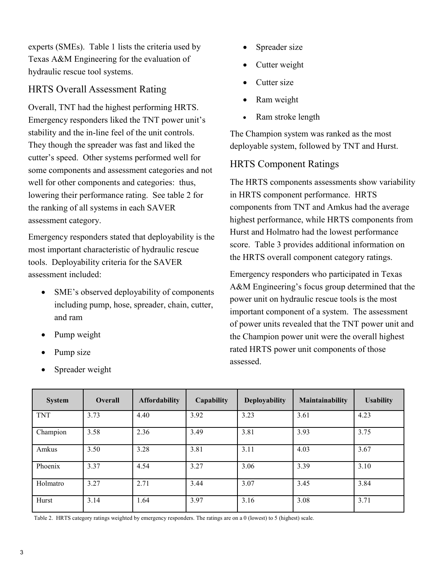experts (SMEs). Table 1 lists the criteria used by Texas A&M Engineering for the evaluation of hydraulic rescue tool systems.

### HRTS Overall Assessment Rating

 Overall, TNT had the highest performing HRTS. Emergency responders liked the TNT power unit's stability and the in-line feel of the unit controls. They though the spreader was fast and liked the cutter's speed. Other systems performed well for some components and assessment categories and not well for other components and categories: thus, lowering their performance rating. See table 2 for the ranking of all systems in each SAVER assessment category.

 Emergency responders stated that deployability is the most important characteristic of hydraulic rescue tools. Deployability criteria for the SAVER assessment included:

- • SME's observed deployability of components including pump, hose, spreader, chain, cutter, and ram
- Pump weight
- Pump size
- Spreader weight
- Spreader size
- Cutter weight
- Cutter size
- Ram weight
- Ram stroke length

 The Champion system was ranked as the most deployable system, followed by TNT and Hurst.

#### HRTS Component Ratings

 The HRTS components assessments show variability in HRTS component performance. HRTS components from TNT and Amkus had the average highest performance, while HRTS components from Hurst and Holmatro had the lowest performance score. Table 3 provides additional information on the HRTS overall component category ratings.

 Emergency responders who participated in Texas A&M Engineering's focus group determined that the power unit on hydraulic rescue tools is the most important component of a system. The assessment of power units revealed that the TNT power unit and the Champion power unit were the overall highest rated HRTS power unit components of those assessed.

| <b>System</b> | <b>Overall</b> | <b>Affordability</b> | Capability | <b>Deployability</b> | Maintainability | <b>Usability</b> |
|---------------|----------------|----------------------|------------|----------------------|-----------------|------------------|
| <b>TNT</b>    | 3.73           | 4.40                 | 3.92       | 3.23                 | 3.61            | 4.23             |
| Champion      | 3.58           | 2.36                 | 3.49       | 3.81                 | 3.93            | 3.75             |
| Amkus         | 3.50           | 3.28                 | 3.81       | 3.11                 | 4.03            | 3.67             |
| Phoenix       | 3.37           | 4.54                 | 3.27       | 3.06                 | 3.39            | 3.10             |
| Holmatro      | 3.27           | 2.71                 | 3.44       | 3.07                 | 3.45            | 3.84             |
| Hurst         | 3.14           | 1.64                 | 3.97       | 3.16                 | 3.08            | 3.71             |

Table 2. HRTS category ratings weighted by emergency responders. The ratings are on a 0 (lowest) to 5 (highest) scale.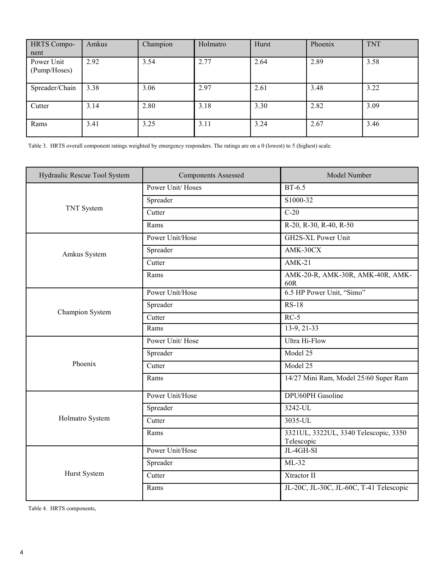| <b>HRTS Compo-</b><br>nent | Amkus | Champion | Holmatro | Hurst | Phoenix | <b>TNT</b> |
|----------------------------|-------|----------|----------|-------|---------|------------|
| Power Unit<br>(Pump/Hoses) | 2.92  | 3.54     | 2.77     | 2.64  | 2.89    | 3.58       |
| Spreader/Chain             | 3.38  | 3.06     | 2.97     | 2.61  | 3.48    | 3.22       |
| Cutter                     | 3.14  | 2.80     | 3.18     | 3.30  | 2.82    | 3.09       |
| Rams                       | 3.41  | 3.25     | 3.11     | 3.24  | 2.67    | 3.46       |

Table 3. HRTS overall component ratings weighted by emergency responders. The ratings are on a 0 (lowest) to 5 (highest) scale.

| Hydraulic Rescue Tool System | <b>Components Assessed</b> | Model Number                                        |  |
|------------------------------|----------------------------|-----------------------------------------------------|--|
|                              | Power Unit/Hoses           | $BT-6.5$                                            |  |
|                              | Spreader                   | S1000-32                                            |  |
| TNT System                   | Cutter                     | $C-20$                                              |  |
|                              | Rams                       | R-20, R-30, R-40, R-50                              |  |
|                              | Power Unit/Hose            | GH2S-XL Power Unit                                  |  |
| Amkus System                 | Spreader                   | AMK-30CX                                            |  |
|                              | Cutter                     | $AMK-21$                                            |  |
|                              | Rams                       | AMK-20-R, AMK-30R, AMK-40R, AMK-<br>60R             |  |
|                              | Power Unit/Hose            | 6.5 HP Power Unit, "Simo"                           |  |
| Champion System              | Spreader                   | $RS-18$                                             |  |
|                              | Cutter                     | $RC-5$                                              |  |
|                              | Rams                       | 13-9, 21-33                                         |  |
|                              | Power Unit/Hose            | Ultra Hi-Flow                                       |  |
|                              | Spreader                   | Model 25                                            |  |
| Phoenix                      | Cutter                     | Model 25                                            |  |
|                              | Rams                       | 14/27 Mini Ram, Model 25/60 Super Ram               |  |
|                              | Power Unit/Hose            | <b>DPU60PH</b> Gasoline                             |  |
|                              | Spreader                   | 3242-UL                                             |  |
| Holmatro System              | Cutter                     | 3035-UL                                             |  |
|                              | Rams                       | 3321UL, 3322UL, 3340 Telescopic, 3350<br>Telescopic |  |
|                              | Power Unit/Hose            | JL-4GH-SI                                           |  |
|                              | Spreader                   | $ML-32$                                             |  |
| Hurst System                 | Cutter                     | Xtractor II                                         |  |
|                              | Rams                       | JL-20C, JL-30C, JL-60C, T-41 Telescopic             |  |

Table 4. HRTS components,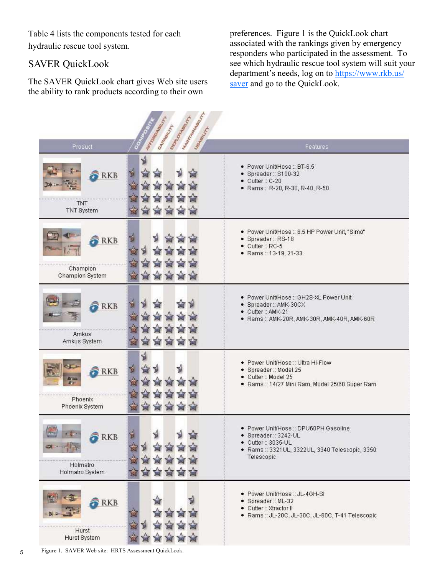Table 4 lists the components tested for each hydraulic rescue tool system.

#### SAVER QuickLook

 The SAVER QuickLook chart gives Web site users the ability to rank products according to their own

 preferences. Figure 1 is the QuickLook chart associated with the rankings given by emergency responders who participated in the assessment. To see which hydraulic rescue tool system will suit your department's needs, log on to https://www.rkb.us/ saver and go to the QuickLook.

| Mary Holly March<br>Margaret March<br><b>PEAS PROPERTY</b><br>Cragged H<br>Underlinery |                                                                                                                                                       |
|----------------------------------------------------------------------------------------|-------------------------------------------------------------------------------------------------------------------------------------------------------|
| Product<br>뒬<br>뤙<br><b>RKB</b><br>TNT<br>TNT System                                   | Features<br>· Power Unit/Hose:: BT-6.5<br>· Spreader:: S100-32<br>● Cutter:: C-20<br>Rams:: R-20, R-30, R-40, R-50                                    |
| 립<br><b>RKB</b><br>슙<br>Champion<br>Champion System                                    | · Power Unit/Hose :: 6.5 HP Power Unit, "Simo"<br>· Spreader:: RS-18<br>· Cutter:: RC-5<br>· Rams: 13-19, 21-33                                       |
| 쉽<br>길<br><b>RKB</b><br><b>Amkus</b><br>Amkus System                                   | · Power Unit/Hose :: GH2S-XL Power Unit<br>· Spreader:: AMK-30CX<br>• Cutter:: AMK-21<br>· Rams:: AMK-20R, AMK-30R, AMK-40R, AMK-60R                  |
| ₻<br>싑<br><b>RKB</b><br>la 112<br>ŵ<br>P2.<br>Phoenix<br>Phoenix System                | · Power Unit/Hose :: Ultra Hi-Flow<br>· Spreader: Model 25<br>· Cutter:: Model 25<br>· Rams :: 14/27 Mini Ram, Model 25/60 Super Ram                  |
| 뤙<br><b>RKB</b><br>Holmatro<br>Holmatro System                                         | · Power Unit/Hose :: DPU60PH Gasoline<br>· Spreader :: 3242-UL<br>· Cutter:: 3035-UL<br>· Rams :: 3321UL, 3322UL, 3340 Telescopic, 3350<br>Telescopic |
| <b>RKB</b><br>Hurst<br>Hurst System                                                    | · Power Unit/Hose :: JL-4GH-SI<br>· Spreader:: ML-32<br>• Cutter:: Xtractor II<br>· Rams :: JL-20C, JL-30C, JL-60C, T-41 Telescopic                   |

5 Figure 1. SAVER Web site: HRTS Assessment QuickLook.